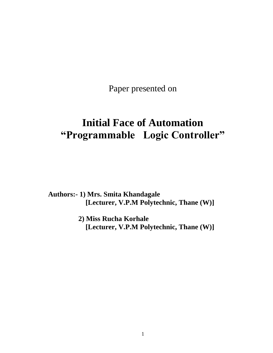Paper presented on

# **Initial Face of Automation "Programmable Logic Controller"**

**Authors:- 1) Mrs. Smita Khandagale [Lecturer, V.P.M Polytechnic, Thane (W)]**

> **2) Miss Rucha Korhale [Lecturer, V.P.M Polytechnic, Thane (W)]**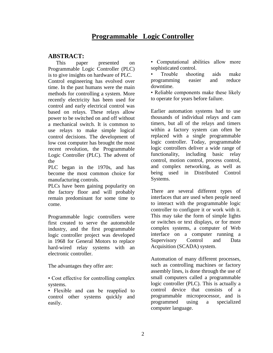# **Programmable Logic Controller**

### **ABSTRACT:**

This paper presented on Programmable Logic Controller (PLC) is to give insights on hardware of PLC. Control engineering has evolved over time. In the past humans were the main methods for controlling a system. More recently electricity has been used for control and early electrical control was based on relays. These relays allow power to be switched on and off without a mechanical switch. It is common to use relays to make simple logical control decisions. The development of low cost computer has brought the most recent revolution, the Programmable Logic Controller (PLC). The advent of the

PLC began in the 1970s, and has become the most common choice for manufacturing controls.

PLCs have been gaining popularity on the factory floor and will probably remain predominant for some time to come.

Programmable logic controllers were first created to serve the automobile industry, and the first programmable logic controller project was developed in 1968 for General Motors to replace hard-wired relay systems with an electronic controller.

The advantages they offer are:

• Cost effective for controlling complex systems.

• Flexible and can be reapplied to control other systems quickly and easily.

• Computational abilities allow more sophisticated control.

• Trouble shooting aids make programming easier and reduce downtime.

• Reliable components make these likely to operate for years before failure.

Earlier automation systems had to use thousands of individual relays and cam timers, but all of the relays and timers within a factory system can often be replaced with a single programmable logic controller. Today, programmable logic controllers deliver a wide range of functionality, including basic relay control, motion control, process control, and complex networking, as well as being used in Distributed Control Systems.

There are several different types of interfaces that are used when people need to interact with the programmable logic controller to configure it or work with it. This may take the form of simple lights or switches or text displays, or for more complex systems, a computer of Web interface on a computer running a Supervisory Control and Data Acquisition (SCADA) system.

Automation of many different processes, such as controlling machines or factory assembly lines, is done through the use of small computers called a programmable logic controller (PLC). This is actually a control device that consists of a programmable [microprocessor,](http://www.wisegeek.com/what-is-a-microprocessor.htm) and is programmed using a specialized [computer](http://www.wisegeek.com/what-is-a-computer.htm) language.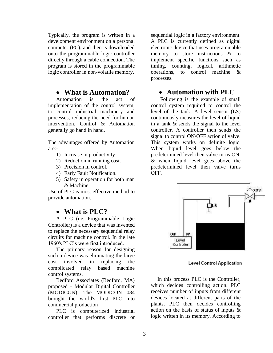Typically, the program is written in a development environment on a personal computer (PC), and then is downloaded onto the programmable logic controller directly through a cable connection. The program is stored in the programmable logic controller in non-volatile memory.

### **What is Automation?**

Automation is the act of implementation of the control system, to control industrial machinery and processes, reducing the need for human intervention. Control & Automation generally go hand in hand.

The advantages offered by Automation are:-

- 1) Increase in productivity
- 2) Reduction in running cost.
- 3) Precision in control.
- 4) Early Fault Notification.
- 5) Safety in operation for both man & Machine.

Use of PLC is most effective method to provide automation.

### **What is PLC?**

A PLC (i.e. Programmable Logic Controller) is a device that was invented to replace the necessary sequential relay circuits for machine control. In the late 1960's PLC's were first introduced.

The primary reason for designing such a device was eliminating the large cost involved in replacing the complicated relay based machine control systems.

Bedford Associates (Bedford, MA) proposed - Modular Digital Controller (MODICON). The MODICON 084 brought the world's first PLC into commercial production

PLC is computerized industrial controller that performs discrete or sequential logic in a factory environment. A PLC is currently defined as digital electronic device that uses programmable memory to store instructions & to implement specific functions such as timing, counting, logical, arithmetic operations, to control machine & processes.

### **Automation with PLC**

 Following is the example of small control system required to control the level of the tank. A level sensor (LS) continuously measures the level of liquid in a tank & sends the signal to the level controller. A controller then sends the signal to control ON/OFF action of valve. This system works on definite logic. When liquid level goes below the predetermined level then valve turns ON, & when liquid level goes above the predetermined level then valve turns OFF.



**Level Control Application** 

In this process PLC is the Controller, which decides controlling action. PLC receives number of inputs from different devices located at different parts of the plants. PLC then decides controlling action on the basis of status of inputs & logic written in its memory. According to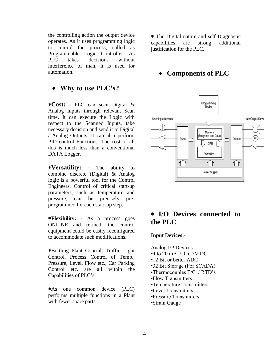the controlling action the output device operates. As it uses programming logic to control the process, called as Programmable Logic Controller. As PLC takes decisions without interference of man, it is used for automation.

# **Why to use PLC's?**

**Cost: -** PLC can scan Digital & Analog Inputs through relevant Scan time. It can execute the Logic with respect to the Scanned Inputs, take necessary decision and send it to Digital / Analog Outputs. It can also perform PID control Functions. The cost of all this is much less than a conventional DATA Logger.

**Versatility: -** The ability to combine discrete (Digital) & Analog logic is a powerful tool for the Control Engineers. Control of critical start-up parameters, such as temperature and pressure, can be precisely preprogrammed for each start-up step.

**Flexibility: -** As a process goes ONLINE and refined, the control equipment could be easily reconfigured to accommodate such modifications.

Bottling Plant Control, Traffic Light Control, Process Control of Temp., Pressure, Level, Flow etc., Car Parking Control etc. are all within the Capabilities of PLC's.

As one common device (PLC) performs multiple functions in a Plant with fewer spare parts.

 The Digital nature and self-Diagnostic capabilities are strong additional justification for the PLC.

# **Components of PLC**



# **I/O Devices connected to the PLC**

#### **Input Devices:-**

Analog I/P Devices -

- $\cdot$ 4 to 20 mA  $/$  0 to 5V DC
- •12 Bit or better ADC
- •32 Bit Storage (For SCADA)
- •Thermocouples T/C / RTD's
- •Flow Transmitters
- •Temperature Transmitters
- •Level Transmitters
- •Pressure Transmitters
- •Strain Gauge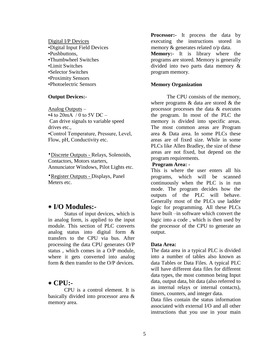Digital I/P Devices •Digital Input Field Devices •Pushbuttons, •Thumbwheel Switches •Limit Switches •Selector Switches •Proximity Sensors •Photoelectric Sensors

#### **Output Devices:-**

Analog Outputs –  $\cdot$ 4 to 20mA / 0 to 5V DC – Can drive signals to variable speed drives etc., •Control Temperature, Pressure, Level, Flow, pH, Conductivity etc.

•Discrete Outputs - Relays, Solenoids, Contactors, Motors starters, Annunciator Windows, Pilot Lights etc.

•Register Outputs - Displays, Panel Meters etc.

### **I/O Modules:-**

Status of input devices, which is in analog form, is applied to the input module. This section of PLC converts analog status into digital form & transfers to the CPU via bus. After processing the data CPU generates O/P status , which comes in a O/P module, where it gets converted into analog form & then transfer to the O/P devices.

#### **CPU:-**

CPU is a control element. It is basically divided into processor area & memory area.

**Processor:-** It process the data by executing the instructions stored in memory & generates related o/p data.

**Memory:-** It is library where the programs are stored. Memory is generally divided into two parts data memory & program memory.

#### **Memory Organization**

The CPU consists of the memory, where programs & data are stored & the processor processes the data & executes the program. In most of the PLC the memory is divided into specific areas. The most common areas are Program area & Data area. In some PLCs these areas are of fixed size. While in some PLCs like Allen Bradley, the size of these areas are not fixed, but depend on the program requirements.

#### **Program Area: -**

This is where the user enters all his programs, which will be scanned continuously when the PLC is in run mode. The program decides how the outputs of the PLC will behave. Generally most of the PLCs use ladder logic for programming. All these PLCs have built –in software which convert the logic into a code , which is then used by the processor of the CPU to generate an output.

#### **Data Area:**

The data area in a typical PLC is divided into a number of tables also known as data Tables or Data Files. A typical PLC will have different data files for different data types, the most common being Input data, output data, bit data (also referred to as internal relays or internal contacts), timers, counters, and integer data.

Data files contain the status information associated with external I/O and all other instructions that you use in your main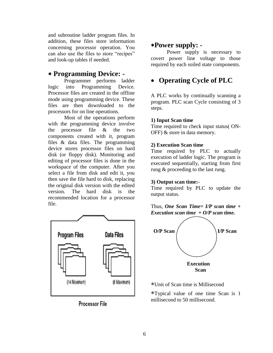and subroutine ladder program files. In addition, these files store information concerning processor operation. You can also use the files to store "recipes" and look-up tables if needed.

## **Programming Device: -**

Programmer performs ladder logic into Programming Device. Processor files are created in the offline mode using programming device. These files are then downloaded to the processors for on line operations.

Most of the operations perform with the programming device involve the processor file & the two components created with it, program files & data files. The programming device stores processor files on hard disk (or floppy disk). Monitoring and editing of processor files is done in the workspace of the computer. After you select a file from disk and edit it, you then save the file hard to disk, replacing the original disk version with the edited version. The hard disk is the recommended location for a processor file.



Processor File

# **Power supply: -**

Power supply is necessary to covert power line voltage to those required by each soiled state components.

# **Operating Cycle of PLC**

A PLC works by continually scanning a program. PLC scan Cycle consisting of 3 steps.

#### **1) Input Scan time**

Time required to check input status( ON-OFF) & store in data memory.

#### **2) Execution Scan time**

Time required by PLC to actually execution of ladder logic. The program is executed sequentially, starting from first rung & proceeding to the last rung.

#### **3) Output scan time:-**

Time required by PLC to update the output status.

Thus, *One Scan Time= I/P scan time + Execution scan time + O/P scan time.*



Unit of Scan time is Millisecond

Typical value of one time Scan is 1 millisecond to 50 millisecond.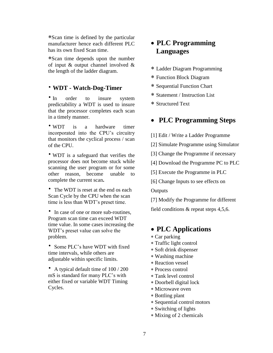Scan time is defined by the particular manufacturer hence each different PLC has its own fixed Scan time.

Scan time depends upon the number of input & output channel involved & the length of the ladder diagram.

#### • **WDT - Watch-Dog-Timer**

• In order to insure system predictability a WDT is used to insure that the processor completes each scan in a timely manner.

• WDT is a hardware timer incorporated into the CPU's circuitry that monitors the cyclical process / scan of the CPU.

• WDT is a safeguard that verifies the processor does not become stuck while scanning the user program or for some other reason, become unable to complete the current scan**.**

• The WDT is reset at the end os each Scan Cycle by the CPU when the scan time is less than WDT's preset time.

• In case of one or more sub-routines, Program scan time can exceed WDT time value. In some cases increasing the WDT's preset value can solve the problem.

• Some PLC's have WDT with fixed time intervals, while others are adjustable within specific limits.

• A typical default time of  $100/200$ mS is standard for many PLC's with either fixed or variable WDT Timing Cycles.

# **PLC Programming Languages**

- Ladder Diagram Programming
- Function Block Diagram
- Sequential Function Chart
- Statement / Instruction List
- Structured Text

# **PLC Programming Steps**

- [1] Edit / Write a Ladder Programme
- [2] Simulate Programme using Simulator
- [3] Change the Programme if necessary
- [4] Download the Programme PC to PLC
- [5] Execute the Programme in PLC
- [6] Change Inputs to see effects on

**Outputs** 

[7] Modify the Programme for different field conditions & repeat steps 4,5,6.

### **PLC Applications**

- Car parking
- Traffic light control
- Soft drink dispenser
- Washing machine
- Reaction vessel
- Process control
- Tank level control
- Doorbell digital lock
- Microwave oven
- Bottling plant
- Sequential control motors
- Switching of lights
- Mixing of 2 chemicals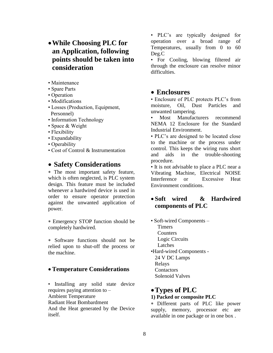# **While Choosing PLC for an Application, following points should be taken into consideration**

- Maintenance
- Spare Parts
- Operation
- Modifications
- Losses (Production, Equipment, Personnel)
- Information Technology
- Space & Weight
- Flexibility
- Expandability
- Operability
- Cost of Control & Instrumentation

### **Safety Considerations**

 The most important safety feature, which is often neglected, is PLC system design. This feature must be included whenever a hardwired device is used in order to ensure operator protection against the unwanted application of power.

 Emergency STOP function should be completely hardwired.

 Software functions should not be relied upon to shut-off the process or the machine.

### **Temperature Considerations**

• Installing any solid state device requires paying attention to – Ambient Temperature Radiant Heat Bombardment And the Heat generated by the Device itself.

• PLC's are typically designed for operation over a broad range of Temperatures, usually from 0 to 60 Deg.C

• For Cooling, blowing filtered air through the enclosure can resolve minor difficulties.

### **Enclosures**

• Enclosure of PLC protects PLC's from moisture, Oil, Dust Particles and unwanted tampering.

• Most Manufacturers recommend NEMA 12 Enclosure for the Standard Industrial Environment.

• PLC's are designed to be located close to the machine or the process under control. This keeps the wiring runs short and aids in the trouble-shooting procedure.

• It is not advisable to place a PLC near a Vibrating Machine, Electrical NOISE Interference or Excessive Heat Environment conditions.

### **Soft wired & Hardwired components of PLC**

• Soft-wired Components – **Timers**  Counters Logic Circuits Latches •Hard-wired Components - 24 V DC Lamps Relays

**Contactors** Solenoid Valves

### **Types of PLC**

#### **1) Packed or composite PLC**

 Different parts of PLC like power supply, memory, processor etc are available in one package or in one box .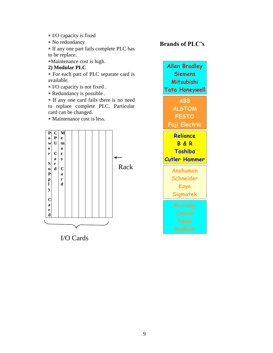- I/O capacity is fixed
- No redundancy

 If any one part fails complete PLC has to be replace.

Maintenance cost is high.

**2) Modular PLC**

 For each part of PLC separate card is available.

I/O capacity is not fixed .

Redundancy is possible .

 If any one card fails there is no need to replace complete PLC. Particular card can be changed.

Maintenance cost is less.



I/O Cards

### **Brands of PLC's**